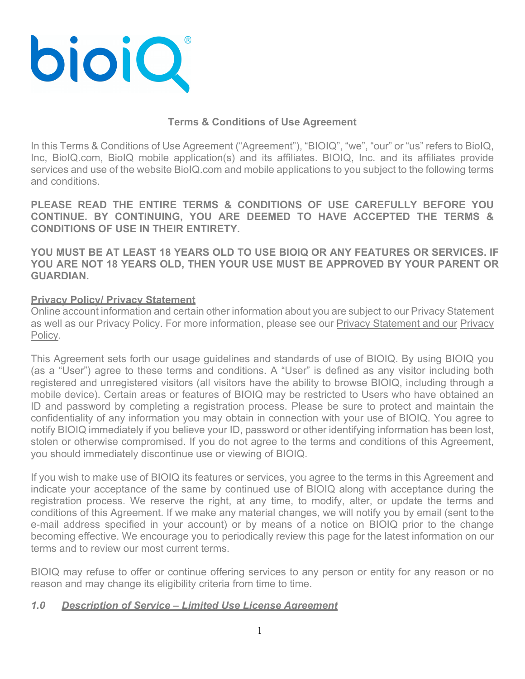

## **Terms & Conditions of Use Agreement**

In this Terms & Conditions of Use Agreement ("Agreement"), "BIOIQ", "we", "our" or "us" refers to BioIQ, Inc, BioIQ.com, BioIQ mobile application(s) and its affiliates. BIOIQ, Inc. and its affiliates provide services and use of the website BioIQ.com and mobile applications to you subject to the following terms and conditions.

**PLEASE READ THE ENTIRE TERMS & CONDITIONS OF USE CAREFULLY BEFORE YOU CONTINUE. BY CONTINUING, YOU ARE DEEMED TO HAVE ACCEPTED THE TERMS & CONDITIONS OF USE IN THEIR ENTIRETY.**

**YOU MUST BE AT LEAST 18 YEARS OLD TO USE BIOIQ OR ANY FEATURES OR SERVICES. IF YOU ARE NOT 18 YEARS OLD, THEN YOUR USE MUST BE APPROVED BY YOUR PARENT OR GUARDIAN.**

## **Privacy Policy/ Privacy Statement**

Online account information and certain other information about you are subject to our Privacy Statement as well as our Privacy Policy. For more information, please see our Privacy Statement and our Privacy Policy.

This Agreement sets forth our usage guidelines and standards of use of BIOIQ. By using BIOIQ you (as a "User") agree to these terms and conditions. A "User" is defined as any visitor including both registered and unregistered visitors (all visitors have the ability to browse BIOIQ, including through a mobile device). Certain areas or features of BIOIQ may be restricted to Users who have obtained an ID and password by completing a registration process. Please be sure to protect and maintain the confidentiality of any information you may obtain in connection with your use of BIOIQ. You agree to notify BIOIQ immediately if you believe your ID, password or other identifying information has been lost, stolen or otherwise compromised. If you do not agree to the terms and conditions of this Agreement, you should immediately discontinue use or viewing of BIOIQ.

If you wish to make use of BIOIQ its features or services, you agree to the terms in this Agreement and indicate your acceptance of the same by continued use of BIOIQ along with acceptance during the registration process. We reserve the right, at any time, to modify, alter, or update the terms and conditions of this Agreement. If we make any material changes, we will notify you by email (sent tothe e-mail address specified in your account) or by means of a notice on BIOIQ prior to the change becoming effective. We encourage you to periodically review this page for the latest information on our terms and to review our most current terms.

BIOIQ may refuse to offer or continue offering services to any person or entity for any reason or no reason and may change its eligibility criteria from time to time.

### *1.0 Description of Service – Limited Use License Agreement*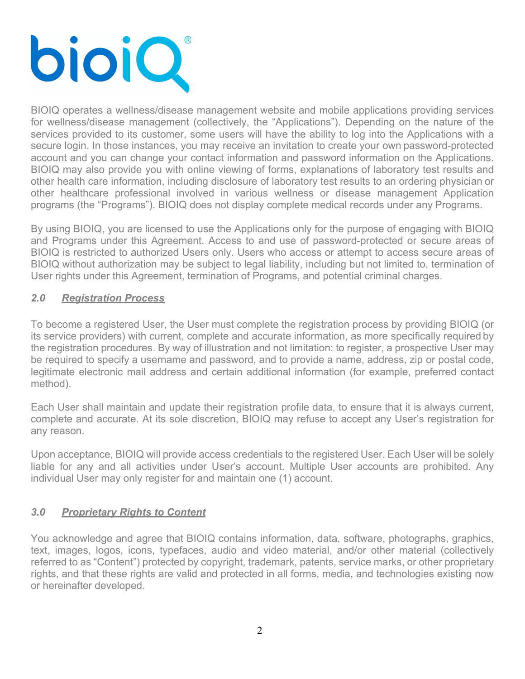

BIOIQ operates a wellness/disease management website and mobile applications providing services for wellness/disease management (collectively, the "Applications"). Depending on the nature of the services provided to its customer, some users will have the ability to log into the Applications with a secure login. In those instances, you may receive an invitation to create your own password-protected account and you can change your contact information and password information on the Applications. BIOIQ may also provide you with online viewing of forms, explanations of laboratory test results and other health care information, including disclosure of laboratory test results to an ordering physician or other healthcare professional involved in various wellness or disease management Application programs (the "Programs"). BIOIQ does not display complete medical records under any Programs.

By using BIOIQ, you are licensed to use the Applications only for the purpose of engaging with BIOIQ and Programs under this Agreement. Access to and use of password-protected or secure areas of BIOIQ is restricted to authorized Users only. Users who access or attempt to access secure areas of BIOIQ without authorization may be subject to legal liability, including but not limited to, termination of User rights under this Agreement, termination of Programs, and potential criminal charges.

## *2.0 Registration Process*

To become a registered User, the User must complete the registration process by providing BIOIQ (or its service providers) with current, complete and accurate information, as more specifically required by the registration procedures. By way of illustration and not limitation: to register, a prospective User may be required to specify a username and password, and to provide a name, address, zip or postal code, legitimate electronic mail address and certain additional information (for example, preferred contact method).

Each User shall maintain and update their registration profile data, to ensure that it is always current, complete and accurate. At its sole discretion, BIOIQ may refuse to accept any User's registration for any reason.

Upon acceptance, BIOIQ will provide access credentials to the registered User. Each User will be solely liable for any and all activities under User's account. Multiple User accounts are prohibited. Any individual User may only register for and maintain one (1) account.

# *3.0 Proprietary Rights to Content*

You acknowledge and agree that BIOIQ contains information, data, software, photographs, graphics, text, images, logos, icons, typefaces, audio and video material, and/or other material (collectively referred to as "Content") protected by copyright, trademark, patents, service marks, or other proprietary rights, and that these rights are valid and protected in all forms, media, and technologies existing now or hereinafter developed.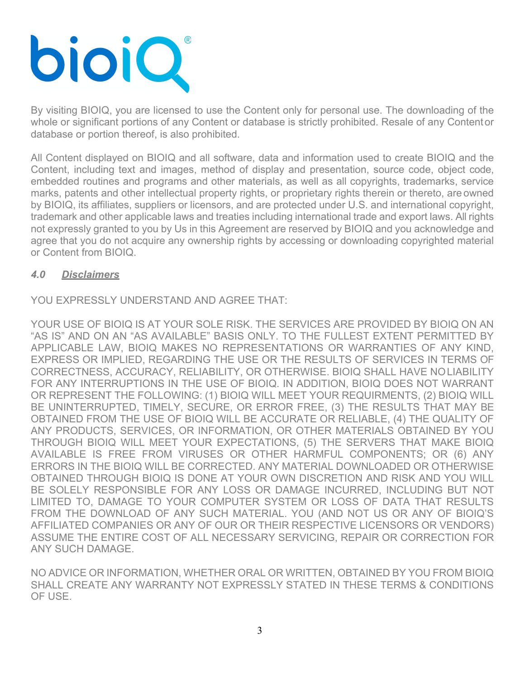

By visiting BIOIQ, you are licensed to use the Content only for personal use. The downloading of the whole or significant portions of any Content or database is strictly prohibited. Resale of any Contentor database or portion thereof, is also prohibited.

All Content displayed on BIOIQ and all software, data and information used to create BIOIQ and the Content, including text and images, method of display and presentation, source code, object code, embedded routines and programs and other materials, as well as all copyrights, trademarks, service marks, patents and other intellectual property rights, or proprietary rights therein or thereto, are owned by BIOIQ, its affiliates, suppliers or licensors, and are protected under U.S. and international copyright, trademark and other applicable laws and treaties including international trade and export laws. All rights not expressly granted to you by Us in this Agreement are reserved by BIOIQ and you acknowledge and agree that you do not acquire any ownership rights by accessing or downloading copyrighted material or Content from BIOIQ.

## *4.0 Disclaimers*

YOU EXPRESSLY UNDERSTAND AND AGREE THAT:

YOUR USE OF BIOIQ IS AT YOUR SOLE RISK. THE SERVICES ARE PROVIDED BY BIOIQ ON AN "AS IS" AND ON AN "AS AVAILABLE" BASIS ONLY. TO THE FULLEST EXTENT PERMITTED BY APPLICABLE LAW, BIOIQ MAKES NO REPRESENTATIONS OR WARRANTIES OF ANY KIND, EXPRESS OR IMPLIED, REGARDING THE USE OR THE RESULTS OF SERVICES IN TERMS OF CORRECTNESS, ACCURACY, RELIABILITY, OR OTHERWISE. BIOIQ SHALL HAVE NOLIABILITY FOR ANY INTERRUPTIONS IN THE USE OF BIOIQ. IN ADDITION, BIOIQ DOES NOT WARRANT OR REPRESENT THE FOLLOWING: (1) BIOIQ WILL MEET YOUR REQUIRMENTS, (2) BIOIQ WILL BE UNINTERRUPTED, TIMELY, SECURE, OR ERROR FREE, (3) THE RESULTS THAT MAY BE OBTAINED FROM THE USE OF BIOIQ WILL BE ACCURATE OR RELIABLE, (4) THE QUALITY OF ANY PRODUCTS, SERVICES, OR INFORMATION, OR OTHER MATERIALS OBTAINED BY YOU THROUGH BIOIQ WILL MEET YOUR EXPECTATIONS, (5) THE SERVERS THAT MAKE BIOIQ AVAILABLE IS FREE FROM VIRUSES OR OTHER HARMFUL COMPONENTS; OR (6) ANY ERRORS IN THE BIOIQ WILL BE CORRECTED. ANY MATERIAL DOWNLOADED OR OTHERWISE OBTAINED THROUGH BIOIQ IS DONE AT YOUR OWN DISCRETION AND RISK AND YOU WILL BE SOLELY RESPONSIBLE FOR ANY LOSS OR DAMAGE INCURRED, INCLUDING BUT NOT LIMITED TO, DAMAGE TO YOUR COMPUTER SYSTEM OR LOSS OF DATA THAT RESULTS FROM THE DOWNLOAD OF ANY SUCH MATERIAL. YOU (AND NOT US OR ANY OF BIOIQ'S AFFILIATED COMPANIES OR ANY OF OUR OR THEIR RESPECTIVE LICENSORS OR VENDORS) ASSUME THE ENTIRE COST OF ALL NECESSARY SERVICING, REPAIR OR CORRECTION FOR ANY SUCH DAMAGE.

NO ADVICE OR INFORMATION, WHETHER ORAL OR WRITTEN, OBTAINED BY YOU FROM BIOIQ SHALL CREATE ANY WARRANTY NOT EXPRESSLY STATED IN THESE TERMS & CONDITIONS OF USE.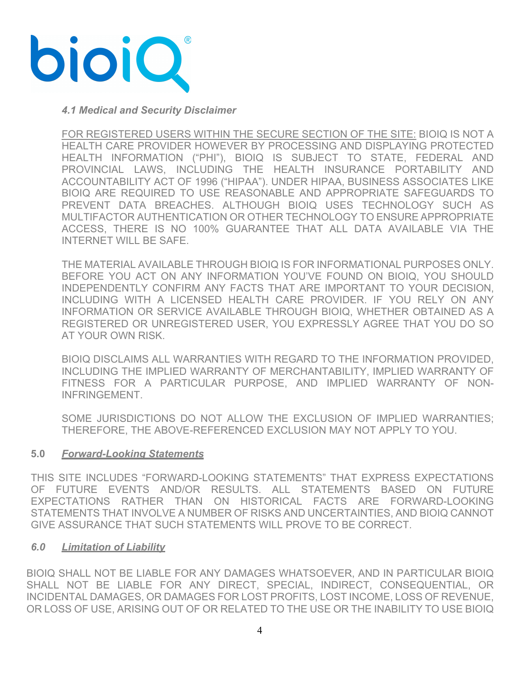

*4.1 Medical and Security Disclaimer*

FOR REGISTERED USERS WITHIN THE SECURE SECTION OF THE SITE: BIOIQ IS NOT A HEALTH CARE PROVIDER HOWEVER BY PROCESSING AND DISPLAYING PROTECTED HEALTH INFORMATION ("PHI"), BIOIQ IS SUBJECT TO STATE, FEDERAL AND PROVINCIAL LAWS, INCLUDING THE HEALTH INSURANCE PORTABILITY AND ACCOUNTABILITY ACT OF 1996 ("HIPAA"). UNDER HIPAA, BUSINESS ASSOCIATES LIKE BIOIQ ARE REQUIRED TO USE REASONABLE AND APPROPRIATE SAFEGUARDS TO PREVENT DATA BREACHES. ALTHOUGH BIOIQ USES TECHNOLOGY SUCH AS MULTIFACTOR AUTHENTICATION OR OTHER TECHNOLOGY TO ENSURE APPROPRIATE ACCESS, THERE IS NO 100% GUARANTEE THAT ALL DATA AVAILABLE VIA THE INTERNET WILL BE SAFE.

THE MATERIAL AVAILABLE THROUGH BIOIQ IS FOR INFORMATIONAL PURPOSES ONLY. BEFORE YOU ACT ON ANY INFORMATION YOU'VE FOUND ON BIOIQ, YOU SHOULD INDEPENDENTLY CONFIRM ANY FACTS THAT ARE IMPORTANT TO YOUR DECISION, INCLUDING WITH A LICENSED HEALTH CARE PROVIDER. IF YOU RELY ON ANY INFORMATION OR SERVICE AVAILABLE THROUGH BIOIQ, WHETHER OBTAINED AS A REGISTERED OR UNREGISTERED USER, YOU EXPRESSLY AGREE THAT YOU DO SO AT YOUR OWN RISK.

BIOIQ DISCLAIMS ALL WARRANTIES WITH REGARD TO THE INFORMATION PROVIDED, INCLUDING THE IMPLIED WARRANTY OF MERCHANTABILITY, IMPLIED WARRANTY OF FITNESS FOR A PARTICULAR PURPOSE, AND IMPLIED WARRANTY OF NON-INFRINGEMENT.

SOME JURISDICTIONS DO NOT ALLOW THE EXCLUSION OF IMPLIED WARRANTIES; THEREFORE, THE ABOVE-REFERENCED EXCLUSION MAY NOT APPLY TO YOU.

### **5.0** *Forward-Looking Statements*

THIS SITE INCLUDES "FORWARD-LOOKING STATEMENTS" THAT EXPRESS EXPECTATIONS OF FUTURE EVENTS AND/OR RESULTS. ALL STATEMENTS BASED ON FUTURE EXPECTATIONS RATHER THAN ON HISTORICAL FACTS ARE FORWARD-LOOKING STATEMENTS THAT INVOLVE A NUMBER OF RISKS AND UNCERTAINTIES, AND BIOIQ CANNOT GIVE ASSURANCE THAT SUCH STATEMENTS WILL PROVE TO BE CORRECT.

### *6.0 Limitation of Liability*

BIOIQ SHALL NOT BE LIABLE FOR ANY DAMAGES WHATSOEVER, AND IN PARTICULAR BIOIQ SHALL NOT BE LIABLE FOR ANY DIRECT, SPECIAL, INDIRECT, CONSEQUENTIAL, OR INCIDENTAL DAMAGES, OR DAMAGES FOR LOST PROFITS, LOST INCOME, LOSS OF REVENUE, OR LOSS OF USE, ARISING OUT OF OR RELATED TO THE USE OR THE INABILITY TO USE BIOIQ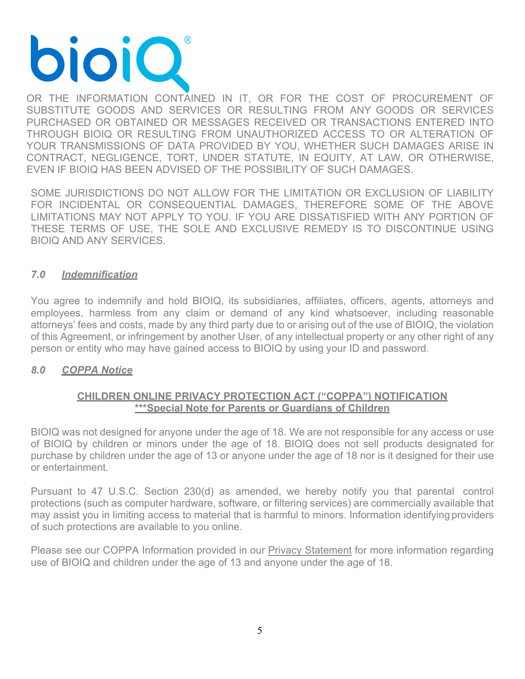

OR THE INFORMATION CONTAINED IN IT, OR FOR THE COST OF PROCUREMENT OF SUBSTITUTE GOODS AND SERVICES OR RESULTING FROM ANY GOODS OR SERVICES PURCHASED OR OBTAINED OR MESSAGES RECEIVED OR TRANSACTIONS ENTERED INTO THROUGH BIOIQ OR RESULTING FROM UNAUTHORIZED ACCESS TO OR ALTERATION OF YOUR TRANSMISSIONS OF DATA PROVIDED BY YOU, WHETHER SUCH DAMAGES ARISE IN CONTRACT, NEGLIGENCE, TORT, UNDER STATUTE, IN EQUITY, AT LAW, OR OTHERWISE, EVEN IF BIOIQ HAS BEEN ADVISED OF THE POSSIBILITY OF SUCH DAMAGES.

SOME JURISDICTIONS DO NOT ALLOW FOR THE LIMITATION OR EXCLUSION OF LIABILITY FOR INCIDENTAL OR CONSEQUENTIAL DAMAGES, THEREFORE SOME OF THE ABOVE LIMITATIONS MAY NOT APPLY TO YOU. IF YOU ARE DISSATISFIED WITH ANY PORTION OF THESE TERMS OF USE, THE SOLE AND EXCLUSIVE REMEDY IS TO DISCONTINUE USING BIOIQ AND ANY SERVICES.

## *7.0 Indemnification*

You agree to indemnify and hold BIOIQ, its subsidiaries, affiliates, officers, agents, attorneys and employees, harmless from any claim or demand of any kind whatsoever, including reasonable attorneys' fees and costs, made by any third party due to or arising out of the use of BIOIQ, the violation of this Agreement, or infringement by another User, of any intellectual property or any other right of any person or entity who may have gained access to BIOIQ by using your ID and password.

### *8.0 COPPA Notice*

### **CHILDREN ONLINE PRIVACY PROTECTION ACT ("COPPA") NOTIFICATION \*\*\*Special Note for Parents or Guardians of Children**

BIOIQ was not designed for anyone under the age of 18. We are not responsible for any access or use of BIOIQ by children or minors under the age of 18. BIOIQ does not sell products designated for purchase by children under the age of 13 or anyone under the age of 18 nor is it designed for their use or entertainment.

Pursuant to 47 U.S.C. Section 230(d) as amended, we hereby notify you that parental control protections (such as computer hardware, software, or filtering services) are commercially available that may assist you in limiting access to material that is harmful to minors. Information identifying providers of such protections are available to you online.

Please see our COPPA Information provided in our Privacy Statement for more information regarding use of BIOIQ and children under the age of 13 and anyone under the age of 18.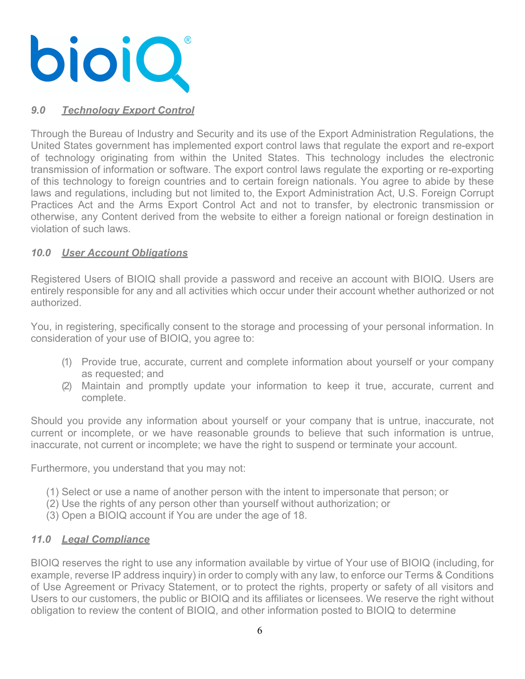

# *9.0 Technology Export Control*

Through the Bureau of Industry and Security and its use of the Export Administration Regulations, the United States government has implemented export control laws that regulate the export and re-export of technology originating from within the United States. This technology includes the electronic transmission of information or software. The export control laws regulate the exporting or re-exporting of this technology to foreign countries and to certain foreign nationals. You agree to abide by these laws and regulations, including but not limited to, the Export Administration Act, U.S. Foreign Corrupt Practices Act and the Arms Export Control Act and not to transfer, by electronic transmission or otherwise, any Content derived from the website to either a foreign national or foreign destination in violation of such laws.

# *10.0 User Account Obligations*

Registered Users of BIOIQ shall provide a password and receive an account with BIOIQ. Users are entirely responsible for any and all activities which occur under their account whether authorized or not authorized.

You, in registering, specifically consent to the storage and processing of your personal information. In consideration of your use of BIOIQ, you agree to:

- (1) Provide true, accurate, current and complete information about yourself or your company as requested; and
- (2) Maintain and promptly update your information to keep it true, accurate, current and complete.

Should you provide any information about yourself or your company that is untrue, inaccurate, not current or incomplete, or we have reasonable grounds to believe that such information is untrue, inaccurate, not current or incomplete; we have the right to suspend or terminate your account.

Furthermore, you understand that you may not:

- (1) Select or use a name of another person with the intent to impersonate that person; or
- (2) Use the rights of any person other than yourself without authorization; or
- (3) Open a BIOIQ account if You are under the age of 18.

# *11.0 Legal Compliance*

BIOIQ reserves the right to use any information available by virtue of Your use of BIOIQ (including, for example, reverse IP address inquiry) in order to comply with any law, to enforce our Terms & Conditions of Use Agreement or Privacy Statement, or to protect the rights, property or safety of all visitors and Users to our customers, the public or BIOIQ and its affiliates or licensees. We reserve the right without obligation to review the content of BIOIQ, and other information posted to BIOIQ to determine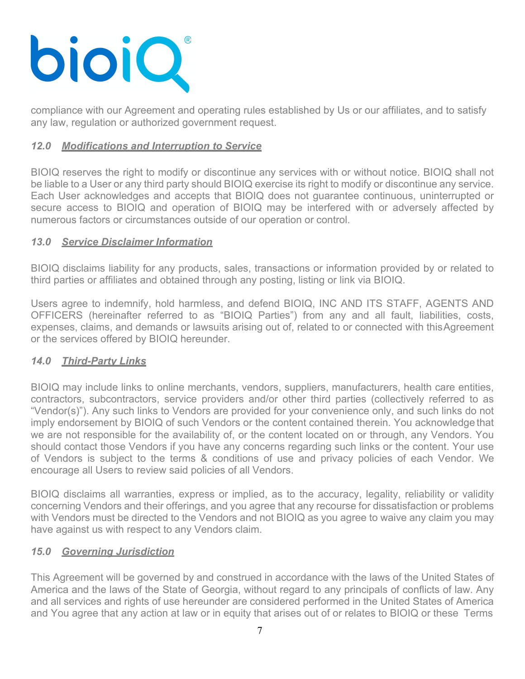

compliance with our Agreement and operating rules established by Us or our affiliates, and to satisfy any law, regulation or authorized government request.

## *12.0 Modifications and Interruption to Service*

BIOIQ reserves the right to modify or discontinue any services with or without notice. BIOIQ shall not be liable to a User or any third party should BIOIQ exercise its right to modify or discontinue any service. Each User acknowledges and accepts that BIOIQ does not guarantee continuous, uninterrupted or secure access to BIOIQ and operation of BIOIQ may be interfered with or adversely affected by numerous factors or circumstances outside of our operation or control.

### *13.0 Service Disclaimer Information*

BIOIQ disclaims liability for any products, sales, transactions or information provided by or related to third parties or affiliates and obtained through any posting, listing or link via BIOIQ.

Users agree to indemnify, hold harmless, and defend BIOIQ, INC AND ITS STAFF, AGENTS AND OFFICERS (hereinafter referred to as "BIOIQ Parties") from any and all fault, liabilities, costs, expenses, claims, and demands or lawsuits arising out of, related to or connected with thisAgreement or the services offered by BIOIQ hereunder.

### *14.0 Third-Party Links*

BIOIQ may include links to online merchants, vendors, suppliers, manufacturers, health care entities, contractors, subcontractors, service providers and/or other third parties (collectively referred to as "Vendor(s)"). Any such links to Vendors are provided for your convenience only, and such links do not imply endorsement by BIOIQ of such Vendors or the content contained therein. You acknowledge that we are not responsible for the availability of, or the content located on or through, any Vendors. You should contact those Vendors if you have any concerns regarding such links or the content. Your use of Vendors is subject to the terms & conditions of use and privacy policies of each Vendor. We encourage all Users to review said policies of all Vendors.

BIOIQ disclaims all warranties, express or implied, as to the accuracy, legality, reliability or validity concerning Vendors and their offerings, and you agree that any recourse for dissatisfaction or problems with Vendors must be directed to the Vendors and not BIOIQ as you agree to waive any claim you may have against us with respect to any Vendors claim.

### *15.0 Governing Jurisdiction*

This Agreement will be governed by and construed in accordance with the laws of the United States of America and the laws of the State of Georgia, without regard to any principals of conflicts of law. Any and all services and rights of use hereunder are considered performed in the United States of America and You agree that any action at law or in equity that arises out of or relates to BIOIQ or these Terms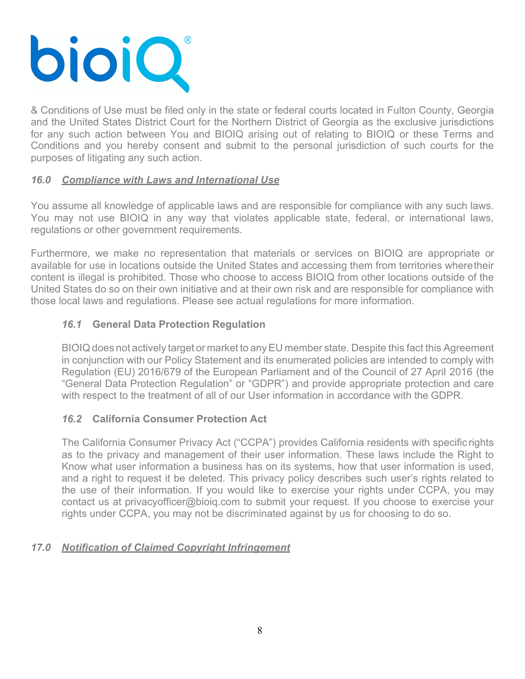

& Conditions of Use must be filed only in the state or federal courts located in Fulton County, Georgia and the United States District Court for the Northern District of Georgia as the exclusive jurisdictions for any such action between You and BIOIQ arising out of relating to BIOIQ or these Terms and Conditions and you hereby consent and submit to the personal jurisdiction of such courts for the purposes of litigating any such action.

# *16.0 Compliance with Laws and International Use*

You assume all knowledge of applicable laws and are responsible for compliance with any such laws. You may not use BIOIQ in any way that violates applicable state, federal, or international laws, regulations or other government requirements.

Furthermore, we make no representation that materials or services on BIOIQ are appropriate or available for use in locations outside the United States and accessing them from territories wheretheir content is illegal is prohibited. Those who choose to access BIOIQ from other locations outside of the United States do so on their own initiative and at their own risk and are responsible for compliance with those local laws and regulations. Please see actual regulations for more information.

# *16.1* **General Data Protection Regulation**

BIOIQ does not actively target or market to any EU member state. Despite this fact this Agreement in conjunction with our Policy Statement and its enumerated policies are intended to comply with Regulation (EU) 2016/679 of the European Parliament and of the Council of 27 April 2016 (the "General Data Protection Regulation" or "GDPR") and provide appropriate protection and care with respect to the treatment of all of our User information in accordance with the GDPR.

# *16.2* **California Consumer Protection Act**

The California Consumer Privacy Act ("CCPA") provides California residents with specific rights as to the privacy and management of their user information. These laws include the Right to Know what user information a business has on its systems, how that user information is used, and a right to request it be deleted. This privacy policy describes such user's rights related to the use of their information. If you would like to exercise your rights under CCPA, you may contact us at privacyofficer@bioiq.com to submit your request. If you choose to exercise your rights under CCPA, you may not be discriminated against by us for choosing to do so.

# *17.0 Notification of Claimed Copyright Infringement*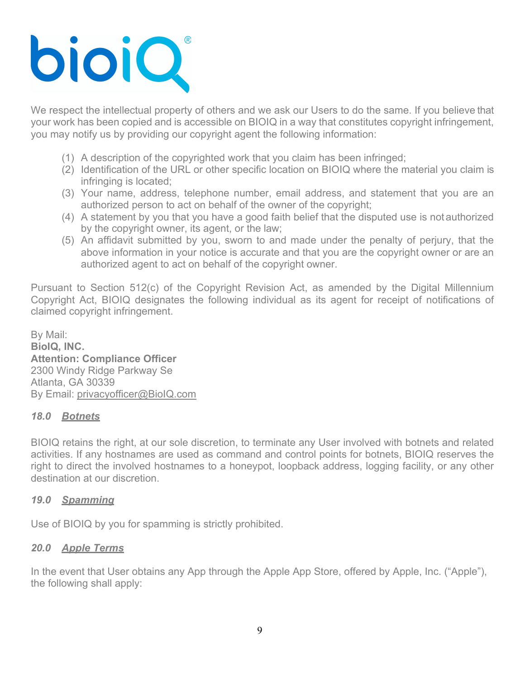

We respect the intellectual property of others and we ask our Users to do the same. If you believe that your work has been copied and is accessible on BIOIQ in a way that constitutes copyright infringement, you may notify us by providing our copyright agent the following information:

- (1) A description of the copyrighted work that you claim has been infringed;
- (2) Identification of the URL or other specific location on BIOIQ where the material you claim is infringing is located;
- (3) Your name, address, telephone number, email address, and statement that you are an authorized person to act on behalf of the owner of the copyright;
- (4) A statement by you that you have a good faith belief that the disputed use is not authorized by the copyright owner, its agent, or the law;
- (5) An affidavit submitted by you, sworn to and made under the penalty of perjury, that the above information in your notice is accurate and that you are the copyright owner or are an authorized agent to act on behalf of the copyright owner.

Pursuant to Section 512(c) of the Copyright Revision Act, as amended by the Digital Millennium Copyright Act, BIOIQ designates the following individual as its agent for receipt of notifications of claimed copyright infringement.

By Mail: **BioIQ, INC. Attention: Compliance Officer**  2300 Windy Ridge Parkway Se Atlanta, GA 30339 By Email: privacyofficer@BioIQ.com

# *18.0 Botnets*

BIOIQ retains the right, at our sole discretion, to terminate any User involved with botnets and related activities. If any hostnames are used as command and control points for botnets, BIOIQ reserves the right to direct the involved hostnames to a honeypot, loopback address, logging facility, or any other destination at our discretion.

# *19.0 Spamming*

Use of BIOIQ by you for spamming is strictly prohibited.

# *20.0 Apple Terms*

In the event that User obtains any App through the Apple App Store, offered by Apple, Inc. ("Apple"), the following shall apply: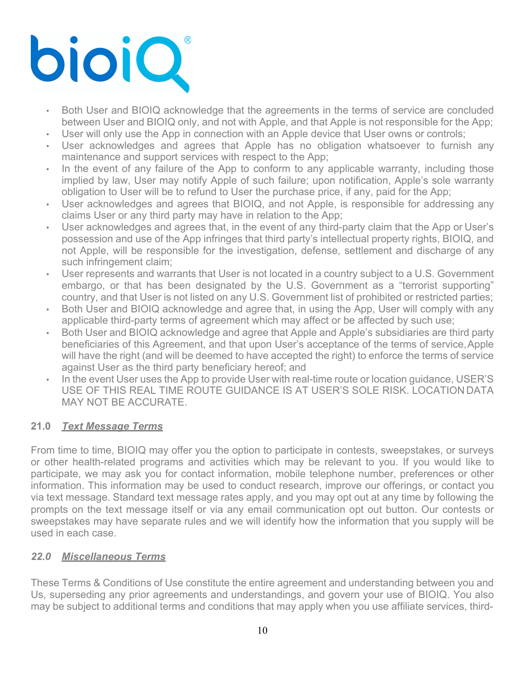

- Both User and BIOIQ acknowledge that the agreements in the terms of service are concluded between User and BIOIQ only, and not with Apple, and that Apple is not responsible for the App;
- User will only use the App in connection with an Apple device that User owns or controls;
- User acknowledges and agrees that Apple has no obligation whatsoever to furnish any maintenance and support services with respect to the App;
- In the event of any failure of the App to conform to any applicable warranty, including those implied by law, User may notify Apple of such failure; upon notification, Apple's sole warranty obligation to User will be to refund to User the purchase price, if any, paid for the App;
- User acknowledges and agrees that BIOIQ, and not Apple, is responsible for addressing any claims User or any third party may have in relation to the App;
- User acknowledges and agrees that, in the event of any third-party claim that the App or User's possession and use of the App infringes that third party's intellectual property rights, BIOIQ, and not Apple, will be responsible for the investigation, defense, settlement and discharge of any such infringement claim;
- User represents and warrants that User is not located in a country subject to a U.S. Government embargo, or that has been designated by the U.S. Government as a "terrorist supporting" country, and that User is not listed on any U.S. Government list of prohibited or restricted parties;
- Both User and BIOIQ acknowledge and agree that, in using the App, User will comply with any applicable third-party terms of agreement which may affect or be affected by such use;
- Both User and BIOIQ acknowledge and agree that Apple and Apple's subsidiaries are third party beneficiaries of this Agreement, and that upon User's acceptance of the terms of service,Apple will have the right (and will be deemed to have accepted the right) to enforce the terms of service against User as the third party beneficiary hereof; and
- In the event User uses the App to provide User with real-time route or location guidance, USER'S USE OF THIS REAL TIME ROUTE GUIDANCE IS AT USER'S SOLE RISK. LOCATION DATA MAY NOT BE ACCURATE.

### **21.0** *Text Message Terms*

From time to time, BIOIQ may offer you the option to participate in contests, sweepstakes, or surveys or other health-related programs and activities which may be relevant to you. If you would like to participate, we may ask you for contact information, mobile telephone number, preferences or other information. This information may be used to conduct research, improve our offerings, or contact you via text message. Standard text message rates apply, and you may opt out at any time by following the prompts on the text message itself or via any email communication opt out button. Our contests or sweepstakes may have separate rules and we will identify how the information that you supply will be used in each case.

# *22.0 Miscellaneous Terms*

These Terms & Conditions of Use constitute the entire agreement and understanding between you and Us, superseding any prior agreements and understandings, and govern your use of BIOIQ. You also may be subject to additional terms and conditions that may apply when you use affiliate services, third-